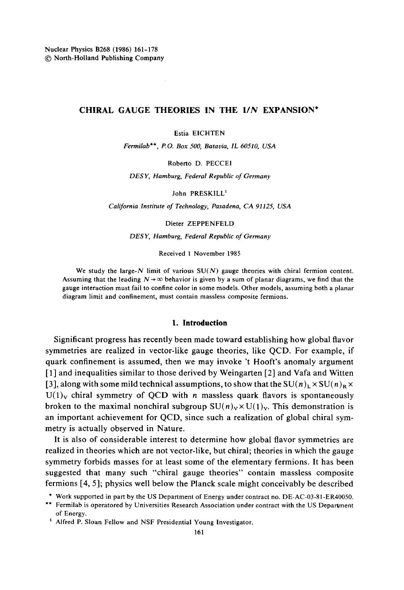# CHIRAL GAUGE THEORIES IN THE 1/N EXPANSION\*

Estia EICHTEN

Fermilab\*\*, P.O. Box 500, Batavia, IL 60510, USA

Roberto D. PECCEI

DESY, Hamburg, Federal Republic of Germany

John PRESKILL<sup>1</sup>

California Institute of Technology, Pasadena, CA 91125, USA

Dieter ZEPPENFELD

DESY, Hamburg, Federal Republic of Germany

Received 1 November 1985

We study the large- $N$  limit of various  $SU(N)$  gauge theories with chiral fermion content. Assuming that the leading  $N \rightarrow \infty$  behavior is given by a sum of planar diagrams, we find that the gauge interaction must fail to confine color in some models. Other models, assuming both a planar diagram limit and confinement, must contain massless composite fermions.

#### 1. Introduction

Significant progress has recently been made toward establishing how global flavor symmetries are realized in vector-like gauge theories, like OCD. For example, if quark confinement is assumed, then we may invoke 't Hooft's anomaly argument [1] and inequalities similar to those derived by Weingarten [2] and Vafa and Witten [3], along with some mild technical assumptions, to show that the  $SU(n)_L \times SU(n)_R \times$  $U(1)_V$  chiral symmetry of QCD with *n* massless quark flavors is spontaneously broken to the maximal nonchiral subgroup  $SU(n)_v \times U(1)_v$ . This demonstration is an important achievement for QCD, since such a realization of global chiral symmetry is actually observed in Nature.

It is also of considerable interest to determine how global flavor symmetries are realized in theories which are not vector-like, but chiral; theories in which the gauge symmetry forbids masses for at least some of the elementary fermions. It has been suggested that many such "chiral gauge theories" contain massless composite fermions [4, 5]; physics well below the Planck scale might conceivably be described

<sup>\*</sup> Work supported in part by the US Department of Energy under contract no. DE-AC-03-81-ER40050.

<sup>\*\*</sup> Fermilab is operatored by Universities Research Association under contract with the US Department of Energy.

<sup>&</sup>lt;sup>1</sup> Alfred P. Sloan Fellow and NSF Presidential Young Investigator.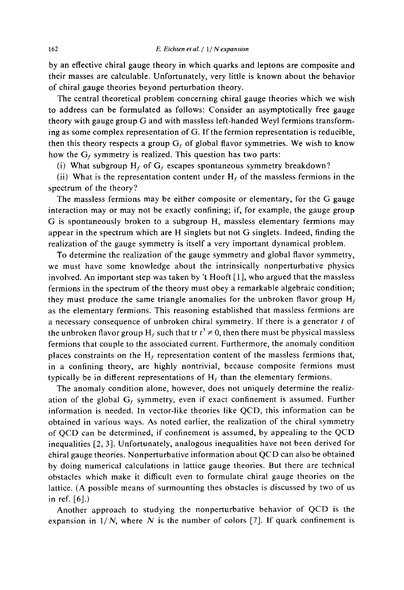by an effective chiral gauge theory in which quarks and leptons are composite and their masses are calculable. Unfortunately, very little is known about the behavior of chiral gauge theories beyond perturbation theory.

The central theoretical problem concerning chiral gauge theories which we wish to address can be formulated as follows: Consider an asymptotically free gauge theory with gauge group G and with massless left-handed Weyl fermions transforming as some complex representation of G. If the fermion representation is reducible, then this theory respects a group  $G_f$  of global flavor symmetries. We wish to know how the  $G_f$  symmetry is realized. This question has two parts:

(i) What subgroup  $H_f$  of  $G_f$  escapes spontaneous symmetry breakdown?

(ii) What is the representation content under  $H_f$  of the massless fermions in the spectrum of the theory?

The massless fermions may be either composite or elementary, for the G gauge interaction may or may not be exactly confining; if, for example, the gauge group G is spontaneously broken to a subgroup H, massless elementary fermions may appear in the spectrum which are H singlets but not G singlets. Indeed, finding the realization of the gauge symmetry is itself a very important dynamical problem.

To determine the realization of the gauge symmetry and global flavor symmetry, we must have some knowledge about the intrinsically nonperturbative physics involved. An important step was taken by 't Hooft [1], who argued that the massless fermions in the spectrum of the theory must obey a remarkable algebraic condition; they must produce the same triangle anomalies for the unbroken flavor group  $H_f$ as the elementary fermions. This reasoning established that massless fermions are a necessary consequence of unbroken chiral symmetry. If there is a generator t of the unbroken flavor group H<sub>t</sub> such that tr  $t^3 \neq 0$ , then there must be physical massless fermions that couple to the associated current. Furthermore, the anomaly condition places constraints on the  $H_f$  representation content of the massless fermions that, in a confining theory, are highly nontrivial, because composite fermions must typically be in different representations of  $H_f$  than the elementary fermions.

The anomaly condition alone, however, does not uniquely determine the realization of the global  $G_f$  symmetry, even if exact confinement is assumed. Further information is needed. In vector-like theories like QCD, this information can be obtained in various ways. As noted earlier, the realization of the chiral symmetry of QCD can be determined, if confinement is assumed, by appealing to the QCD inequalities [2, 3]. Unfortunately, analogous inequalities have not been derived for chiral gauge theories. Nonperturbative information about QCD can also be obtained by doing numerical calculations in lattice gauge theories. But there are technical obstacles which make it difficult even to formulate chiral gauge theories on the lattice. (A possible means of surmounting thes obstacles is discussed by two of us in ref.  $[6]$ .)

Another approach to studying the nonperturbative behavior of QCD is the expansion in  $1/N$ , where N is the number of colors [7]. If quark confinement is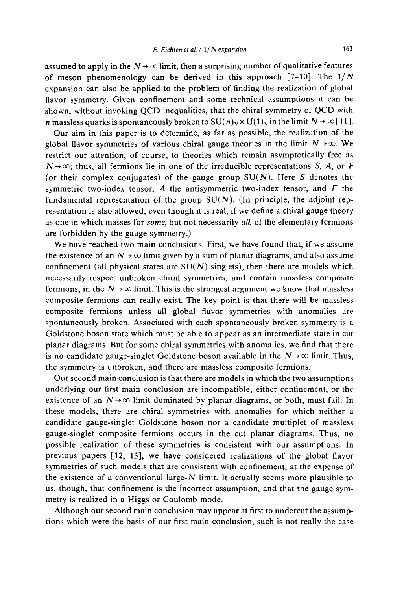assumed to apply in the  $N \rightarrow \infty$  limit, then a surprising number of qualitative features of meson phenomenology can be derived in this approach  $[7-10]$ . The  $1/N$ expansion can also be applied to the problem of finding the realization of global flavor symmetry. Given confinement and some technical assumptions it can be shown, without invoking QCD inequalities, that the chiral symmetry of QCD with *n* massless quarks is spontaneously broken to  $SU(n)_v \times U(1)_v$  in the limit  $N \to \infty$  [11].

Our aim in this paper is to determine, as far as possible, the realization of the global flavor symmetries of various chiral gauge theories in the limit  $N \rightarrow \infty$ . We restrict our attention, of course, to theories which remain asymptotically free as  $N \rightarrow \infty$ ; thus, all fermions lie in one of the irreducible representations S, A, or F (or their complex conjugates) of the gauge group  $SU(N)$ . Here S denotes the symmetric two-index tensor,  $A$  the antisymmetric two-index tensor, and  $F$  the fundamental representation of the group  $SU(N)$ . (In principle, the adjoint representation is also allowed, even though it is real, if we define a chiral gauge theory as one in which masses for *some*, but not necessarily all, of the elementary fermions are forbidden by the gauge symmetry.)

We have reached two main conclusions. First, we have found that, if we assume the existence of an  $N \rightarrow \infty$  limit given by a sum of planar diagrams, and also assume confinement (all physical states are  $SU(N)$  singlets), then there are models which necessarily respect unbroken chiral symmetries, and contain massless composite fermions, in the  $N \rightarrow \infty$  limit. This is the strongest argument we know that massless composite fermions can really exist. The key point is that there will be massless composite fermions unless all global flavor symmetries with anomalies are spontaneously broken. Associated with each spontaneously broken symmetry is a Goldstone boson state which must be able to appear as an intermediate state in cut planar diagrams. But for some chiral symmetries with anomalies, we find that there is no candidate gauge-singlet Goldstone boson available in the  $N \rightarrow \infty$  limit. Thus, the symmetry is unbroken, and there are massless composite fermions.

Our second main conclusion is that there are models in which the two assumptions underlying our first main conclusion are incompatible; either confinement, or the existence of an  $N \rightarrow \infty$  limit dominated by planar diagrams, or both, must fail. In these models, there are chiral symmetries with anomalies for which neither a candidate gauge-singlet Goldstone boson nor a candidate multiplet of massless gauge-singlet composite fermions occurs in the cut planar diagrams. Thus, no possible realization of these symmetries is consistent with our assumptions. In previous papers [12, 13], we have considered realizations of the global flavor symmetries of such models that are consistent with confinement, at the expense of the existence of a conventional large- $N$  limit. It actually seems more plausible to us, though, that confinement is the incorrect assumption, and that the gauge symmetry is realized in a Higgs or Coulomb mode.

Although our second main conclusion may appear at first to undercut the assumptions which were the basis of our first main conclusion, such is not really the case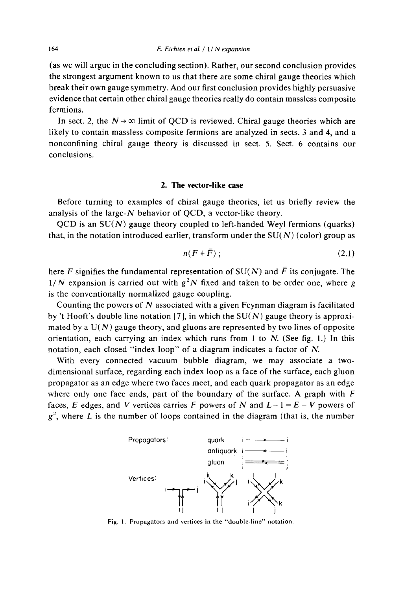(as we will argue in the concluding section). Rather, our second conclusion provides the strongest argument known to us that there are some chiral gauge theories which break their own gauge symmetry. And our first conclusion provides highly persuasive evidence that certain other chiral gauge theories really do contain massless composite fermions.

In sect. 2, the  $N \rightarrow \infty$  limit of QCD is reviewed. Chiral gauge theories which are likely to contain massless composite fermions are analyzed in sects. 3 and 4, and a nonconfining chiral gauge theory is discussed in sect. 5. Sect. 6 contains our conclusions.

#### 2. The vector-like case

Before turning to examples of chiral gauge theories, let us briefly review the analysis of the large- $N$  behavior of QCD, a vector-like theory.

OCD is an  $SU(N)$  gauge theory coupled to left-handed Weyl fermions (quarks) that, in the notation introduced earlier, transform under the  $SU(N)$  (color) group as

$$
n(F+\bar{F})\tag{2.1}
$$

here F signifies the fundamental representation of  $SU(N)$  and  $\bar{F}$  its conjugate. The  $1/N$  expansion is carried out with  $g^2N$  fixed and taken to be order one, where g is the conventionally normalized gauge coupling.

Counting the powers of  $N$  associated with a given Feynman diagram is facilitated by 't Hooft's double line notation [7], in which the  $SU(N)$  gauge theory is approximated by a  $U(N)$  gauge theory, and gluons are represented by two lines of opposite orientation, each carrying an index which runs from 1 to  $N$ . (See fig. 1.) In this notation, each closed "index loop" of a diagram indicates a factor of N.

With every connected vacuum bubble diagram, we may associate a twodimensional surface, regarding each index loop as a face of the surface, each gluon propagator as an edge where two faces meet, and each quark propagator as an edge where only one face ends, part of the boundary of the surface. A graph with  $F$ faces, E edges, and V vertices carries F powers of N and  $L-1 = E - V$  powers of  $g^2$ , where L is the number of loops contained in the diagram (that is, the number



Fig. 1. Propagators and vertices in the "double-line" notation.

164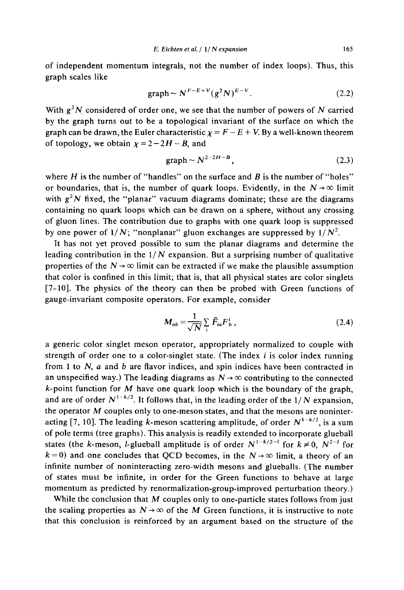of independent momentum integrals, not the number of index loops). Thus, this graph scales like

$$
\text{graph} \sim N^{F-E+V} (g^2 N)^{E-V}.\tag{2.2}
$$

With  $g<sup>2</sup>N$  considered of order one, we see that the number of powers of N carried by the graph turns out to be a topological invariant of the surface on which the graph can be drawn, the Euler characteristic  $\chi = F - E + V$ . By a well-known theorem of topology, we obtain  $\chi = 2 - 2H - B$ , and

$$
\text{graph} \sim N^{2-2H-B},\tag{2.3}
$$

where  $H$  is the number of "handles" on the surface and  $B$  is the number of "holes" or boundaries, that is, the number of quark loops. Evidently, in the  $N \rightarrow \infty$  limit with  $g^2N$  fixed, the "planar" vacuum diagrams dominate; these are the diagrams containing no quark loops which can be drawn on a sphere, without any crossing of gluon lines. The contribution due to graphs with one quark loop is suppressed by one power of  $1/N$ ; "nonplanar" gluon exchanges are suppressed by  $1/N^2$ .

It has not yet proved possible to sum the planar diagrams and determine the leading contribution in the  $1/N$  expansion. But a surprising number of qualitative properties of the  $N \rightarrow \infty$  limit can be extracted if we make the plausible assumption that color is confined in this limit; that is, that all physical states are color singlets  $[7-10]$ . The physics of the theory can then be probed with Green functions of gauge-invariant composite operators. For example, consider

$$
M_{ab} = \frac{1}{\sqrt{N}} \sum_{i} \bar{F}_{ia} F_{b}^{i} , \qquad (2.4)
$$

a generic color singlet meson operator, appropriately normalized to couple with strength of order one to a color-singlet state. (The index *i* is color index running from 1 to  $N$ ,  $a$  and  $b$  are flavor indices, and spin indices have been contracted in an unspecified way.) The leading diagrams as  $N \rightarrow \infty$  contributing to the connected  $k$ -point function for M have one quark loop which is the boundary of the graph, and are of order  $N^{1-k/2}$ . It follows that, in the leading order of the  $1/N$  expansion. the operator  $M$  couples only to one-meson states, and that the mesons are noninteracting [7, 10]. The leading k-meson scattering amplitude, of order  $N^{1-k/2}$ , is a sum of pole terms (tree graphs). This analysis is readily extended to incorporate glueball states (the k-meson, *l*-glueball amplitude is of order  $N^{1-k/2-l}$  for  $k \neq 0$ ,  $N^{2-l}$  for  $k=0$ ) and one concludes that QCD becomes, in the  $N \rightarrow \infty$  limit, a theory of an infinite number of noninteracting zero-width mesons and glueballs. (The number of states must be infinite, in order for the Green functions to behave at large momentum as predicted by renormalization-group-improved perturbation theory.)

While the conclusion that  $M$  couples only to one-particle states follows from just the scaling properties as  $N \rightarrow \infty$  of the M Green functions, it is instructive to note that this conclusion is reinforced by an argument based on the structure of the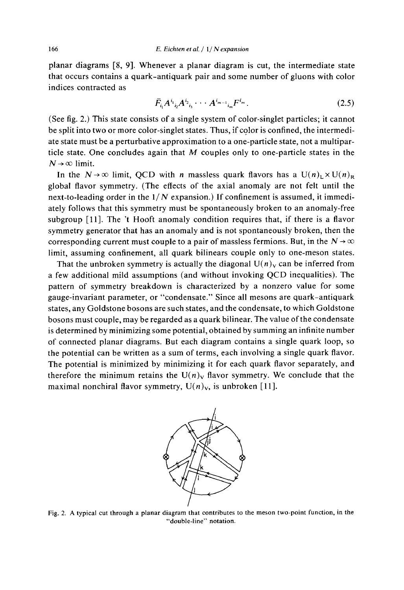planar diagrams [8, 9]. Whenever a planar diagram is cut, the intermediate state that occurs contains a quark-antiquark pair and some number of gluons with color indices contracted as

$$
\bar{F}_{i_1}A^{i_1}{}_{i_2}A^{i_2}{}_{i_3}\cdots A^{i_{m-1}}{}_{i_m}F^{i_m}.
$$
 (2.5)

(See fig. 2.) This state consists of a single system of color-singlet particles; it cannot be split into two or more color-singlet states. Thus, if color is confined, the intermediate state must be a perturbative approximation to a one-particle state, not a multiparticle state. One concludes again that  $M$  couples only to one-particle states in the  $N \rightarrow \infty$  limit.

In the  $N \to \infty$  limit, OCD with *n* massless quark flavors has a  $U(n)$ <sub>1</sub> ×  $U(n)_R$ global flavor symmetry. (The effects of the axial anomaly are not felt until the next-to-leading order in the  $1/N$  expansion.) If confinement is assumed, it immediately follows that this symmetry must be spontaneously broken to an anomaly-free subgroup [11]. The 't Hooft anomaly condition requires that, if there is a flavor symmetry generator that has an anomaly and is not spontaneously broken, then the corresponding current must couple to a pair of massless fermions. But, in the  $N \rightarrow \infty$ limit, assuming confinement, all quark bilinears couple only to one-meson states.

That the unbroken symmetry is actually the diagonal  $U(n)_v$  can be inferred from a few additional mild assumptions (and without invoking QCD inequalities). The pattern of symmetry breakdown is characterized by a nonzero value for some gauge-invariant parameter, or "condensate." Since all mesons are quark-antiquark states, any Goldstone bosons are such states, and the condensate, to which Goldstone bosons must couple, may be regarded as a quark bilinear. The value of the condensate is determined by minimizing some potential, obtained by summing an infinite number of connected planar diagrams. But each diagram contains a single quark loop, so the potential can be written as a sum of terms, each involving a single quark flavor. The potential is minimized by minimizing it for each quark flavor separately, and therefore the minimum retains the  $U(n)_{V}$  flavor symmetry. We conclude that the maximal nonchiral flavor symmetry,  $U(n)_v$ , is unbroken [11].



Fig. 2. A typical cut through a planar diagram that contributes to the meson two-point function, in the "double-line" notation.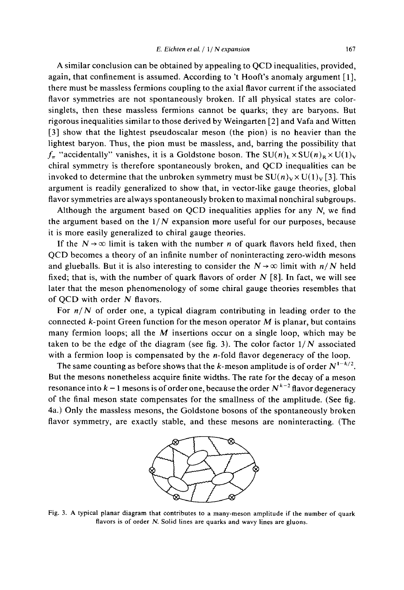A similar conclusion can be obtained by appealing to QCD inequalities, provided, again, that confinement is assumed. According to 't Hooft's anomaly argument [1], there must be massless fermions coupling to the axial flavor current if the associated flavor symmetries are not spontaneously broken. If all physical states are colorsinglets, then these massless fermions cannot be quarks; they are baryons. But rigorous inequalities similar to those derived by Weingarten [2] and Vafa and Witten [3] show that the lightest pseudoscalar meson (the pion) is no heavier than the lightest baryon. Thus, the pion must be massless, and, barring the possibility that  $f_{\pi}$  "accidentally" vanishes, it is a Goldstone boson. The SU(n)<sub>L</sub>×SU(n)<sub>R</sub>×U(1)<sub>V</sub> chiral symmetry is therefore spontaneously broken, and QCD inequalities can be invoked to determine that the unbroken symmetry must be  $SU(n)_V \times U(1)_V$  [3]. This argument is readily generalized to show that, in vector-like gauge theories, global flavor symmetries are always spontaneously broken to maximal nonchiral subgroups.

Although the argument based on QCD inequalities applies for any  $N$ , we find the argument based on the  $1/N$  expansion more useful for our purposes, because it is more easily generalized to chiral gauge theories.

If the  $N \rightarrow \infty$  limit is taken with the number *n* of quark flavors held fixed, then OCD becomes a theory of an infinite number of noninteracting zero-width mesons and glueballs. But it is also interesting to consider the  $N \rightarrow \infty$  limit with  $n/N$  held fixed; that is, with the number of quark flavors of order  $N$  [8]. In fact, we will see later that the meson phenomenology of some chiral gauge theories resembles that of QCD with order N flavors.

For  $n/N$  of order one, a typical diagram contributing in leading order to the connected  $k$ -point Green function for the meson operator  $M$  is planar, but contains many fermion loops; all the  $M$  insertions occur on a single loop, which may be taken to be the edge of the diagram (see fig. 3). The color factor  $1/N$  associated with a fermion loop is compensated by the  $n$ -fold flavor degeneracy of the loop.

The same counting as before shows that the k-meson amplitude is of order  $N^{1-k/2}$ . But the mesons nonetheless acquire finite widths. The rate for the decay of a meson resonance into  $k-1$  mesons is of order one, because the order  $N^{k-2}$  flavor degeneracy of the final meson state compensates for the smallness of the amplitude. (See fig. 4a.) Only the massless mesons, the Goldstone bosons of the spontaneously broken flavor symmetry, are exactly stable, and these mesons are noninteracting. (The



Fig. 3. A typical planar diagram that contributes to a many-meson amplitude if the number of quark flavors is of order N. Solid lines are quarks and wavy lines are gluons.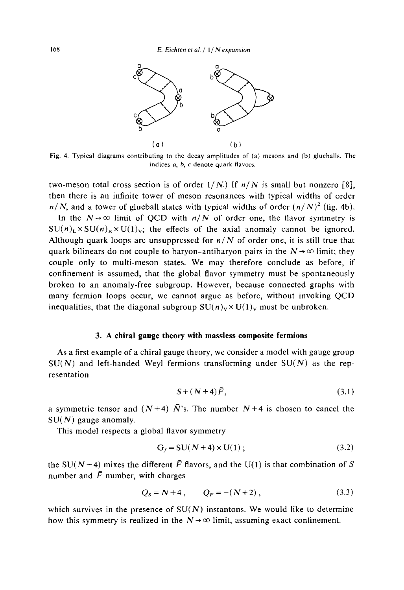

Fig. 4. Typical diagrams contributing to the decay amplitudes of (a) mesons and (b) glueballs. The indices a, b, c denote quark flavors,

two-meson total cross section is of order  $1/N$ .) If  $n/N$  is small but nonzero [8], then there is an infinite tower of meson resonances with typical widths of order  $n/N$ , and a tower of glueball states with typical widths of order  $(n/N)^2$  (fig. 4b).

In the  $N \rightarrow \infty$  limit of QCD with  $n/N$  of order one, the flavor symmetry is  $SU(n)$ <sub>I</sub> ×  $SU(n)$ <sub>R</sub> ×  $U(1)$ <sub>V</sub>; the effects of the axial anomaly cannot be ignored. Although quark loops are unsuppressed for  $n/N$  of order one, it is still true that quark bilinears do not couple to baryon-antibaryon pairs in the  $N \rightarrow \infty$  limit; they couple only to multi-meson states. We may therefore conclude as before, if confinement is assumed, that the global flavor symmetry must be spontaneously broken to an anomaly-free subgroup. However, because connected graphs with many fermion loops occur, we cannot argue as before, without invoking QCD inequalities, that the diagonal subgroup  $SU(n)_V \times U(1)_V$  must be unbroken.

### 3. A chiral gauge theory with massless composite fermions

As a first example of a chiral gauge theory, we consider a model with gauge group  $SU(N)$  and left-handed Weyl fermions transforming under  $SU(N)$  as the representation

$$
S + (N+4)\bar{F}, \tag{3.1}
$$

a symmetric tensor and  $(N+4)$   $\overline{N}$ 's. The number  $N+4$  is chosen to cancel the  $SU(N)$  gauge anomaly.

This model respects a global flavor symmetry

$$
G_f = SU(N+4) \times U(1) ; \qquad (3.2)
$$

the SU(N+4) mixes the different  $\bar{F}$  flavors, and the U(1) is that combination of S number and  $\bar{F}$  number, with charges

$$
Q_S = N + 4, \t Q_F = -(N + 2), \t (3.3)
$$

which survives in the presence of  $SU(N)$  instantons. We would like to determine how this symmetry is realized in the  $N \rightarrow \infty$  limit, assuming exact confinement.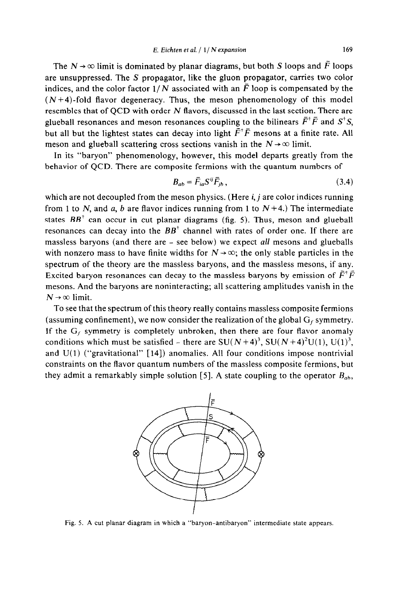The  $N \rightarrow \infty$  limit is dominated by planar diagrams, but both S loops and  $\bar{F}$  loops are unsuppressed. The  $S$  propagator, like the gluon propagator, carries two color indices, and the color factor  $1/N$  associated with an  $\bar{F}$  loop is compensated by the  $(N+4)$ -fold flavor degeneracy. Thus, the meson phenomenology of this model resembles that of QCD with order N flavors, discussed in the last section. There are glueball resonances and meson resonances coupling to the bilinears  $\bar{F}^{\dagger} \bar{F}$  and  $S^{\dagger} S$ , but all but the lightest states can decay into light  $\bar{F}^{\dagger} \bar{F}$  mesons at a finite rate. All meson and glueball scattering cross sections vanish in the  $N \rightarrow \infty$  limit.

In its "baryon" phenomenology, however, this model departs greatly from the behavior of QCD. There are composite fermions with the quantum numbers of

$$
B_{ab} = \bar{F}_{ia} S^{ij} \bar{F}_{jb} \,, \tag{3.4}
$$

which are not decoupled from the meson physics. (Here  $i, j$  are color indices running from 1 to N, and a, b are flavor indices running from 1 to  $N+4$ .) The intermediate states  $BB^{\dagger}$  can occur in cut planar diagrams (fig. 5). Thus, meson and glueball resonances can decay into the *BB'* channel with rates of order one. If there are massless baryons (and there are - see below) we expect all mesons and glueballs with nonzero mass to have finite widths for  $N \rightarrow \infty$ ; the only stable particles in the spectrum of the theory are the massless baryons, and the massless mesons, if any. Excited baryon resonances can decay to the massless baryons by emission of  $\bar{F}^{\dagger}\bar{F}$ mesons. And the baryons are noninteracting; all scattering amplitudes vanish in the  $N \rightarrow \infty$  limit.

To see that the spectrum of this theory really contains massless composite fermions (assuming confinement), we now consider the realization of the global  $G_f$  symmetry. If the  $G_f$  symmetry is completely unbroken, then there are four flavor anomaly conditions which must be satisfied - there are  $SU(N+4)^3$ ,  $SU(N+4)^2U(1)$ ,  $U(1)^3$ , and  $U(1)$  ("gravitational" [14]) anomalies. All four conditions impose nontrivial constraints on the flavor quantum numbers of the massless composite fermions, but they admit a remarkably simple solution [5]. A state coupling to the operator  $B_{ab}$ ,



Fig. 5. A cut planar diagram in which a "baryon-antibaryon" intermediate state appears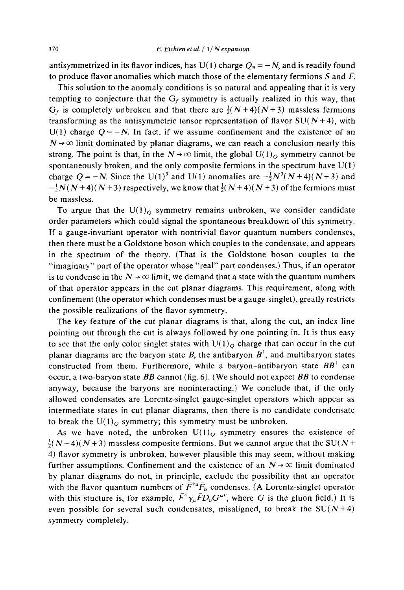antisymmetrized in its flavor indices, has U(1) charge  $Q_B = -N$ , and is readily found to produce flavor anomalies which match those of the elementary fermions S and  $\overline{F}$ .

This solution to the anomaly conditions is so natural and appealing that it is very tempting to conjecture that the  $G_f$  symmetry is actually realized in this way, that  $G_f$  is completely unbroken and that there are  $\frac{1}{2}(N+4)(N+3)$  massless fermions transforming as the antisymmetric tensor representation of flavor  $SU(N+4)$ , with  $U(1)$  charge  $Q = -N$ . In fact, if we assume confinement and the existence of an  $N \rightarrow \infty$  limit dominated by planar diagrams, we can reach a conclusion nearly this strong. The point is that, in the  $N \rightarrow \infty$  limit, the global U(1)<sub>0</sub> symmetry cannot be spontaneously broken, and the only composite fermions in the spectrum have  $U(1)$ charge  $Q = -N$ . Since the U(1)<sup>3</sup> and U(1) anomalies are  $-\frac{1}{2}N^3(N+4)(N+3)$  and  $-\frac{1}{2}N(N+4)(N+3)$  respectively, we know that  $\frac{1}{2}(N+4)(N+3)$  of the fermions must be massless.

To argue that the  $U(1)_{O}$  symmetry remains unbroken, we consider candidate order parameters which could signal the spontaneous breakdown of this symmetry. If a gauge-invariant operator with nontrivial flavor quantum numbers condenses, then there must be a Goldstone boson which couples to the condensate, and appears in the spectrum of the theory. (That is the Goldstone boson couples to the "imaginary" part of the operator whose "real" part condenses.) Thus, if an operator is to condense in the  $N \rightarrow \infty$  limit, we demand that a state with the quantum numbers of that operator appears in the cut planar diagrams. This requirement, along with confinement (the operator which condenses must be a gauge-singlet), greatly restricts the possible realizations of the flavor symmetry.

The key feature of the cut planar diagrams is that, along the cut, an index line pointing out through the cut is always followed by one pointing in. It is thus easy to see that the only color singlet states with  $U(1)_{O}$  charge that can occur in the cut planar diagrams are the baryon state B, the antibaryon  $B^{\dagger}$ , and multibaryon states constructed from them. Furthermore, while a baryon-antibaryon state  $BB^{\dagger}$  can occur, a two-baryon state  $BB$  cannot (fig. 6). (We should not expect  $BB$  to condense anyway, because the baryons are noninteracting.) We conclude that, if the only allowed condensates are Lorentz-singlet gauge-singlet operators which appear as intermediate states in cut planar diagrams, then there is no candidate condensate to break the  $U(1)<sub>O</sub>$  symmetry; this symmetry must be unbroken.

As we have noted, the unbroken  $U(1)_0$  symmetry ensures the existence of  $\frac{1}{2}(N+4)(N+3)$  massless composite fermions. But we cannot argue that the SU(N + 4) flavor symmetry is unbroken, however plausible this may seem, without making further assumptions. Confinement and the existence of an  $N \rightarrow \infty$  limit dominated by planar diagrams do not, in principle, exclude the possibility that an operator with the flavor quantum numbers of  $\bar{F}^{*a}\bar{F}_b$  condenses. (A Lorentz-singlet operator with this stucture is, for example,  $\bar{F}^{\dagger} \gamma_{\mu} \bar{F} D_{\nu} G^{\mu \nu}$ , where G is the gluon field.) It is even possible for several such condensates, misaligned, to break the  $SU(N+4)$ symmetry completely.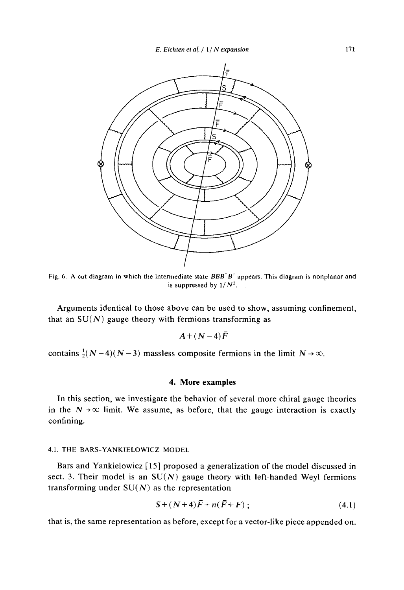

Fig. 6. A cut diagram in which the intermediate state  $BBB^{\dagger}B^{\dagger}$  appears. This diagram is nonplanar and is suppressed by  $1/N^2$ .

Arguments identical to those above can be used to show, assuming confinement, that an  $SU(N)$  gauge theory with fermions transforming as

$$
A\!+\!(N\!-\!4)\bar{F}
$$

contains  $\frac{1}{2}(N-4)(N-3)$  massless composite fermions in the limit  $N \rightarrow \infty$ .

# 4. More examples

In this section, we investigate the behavior of several more chiral gauge theories in the  $N \rightarrow \infty$  limit. We assume, as before, that the gauge interaction is exactly confining.

### 4.1. THE BARS-YANKIELOWICZ MODEL

Bars and Yankielowicz [15] proposed a generalization of the model discussed in sect. 3. Their model is an  $SU(N)$  gauge theory with left-handed Weyl fermions transforming under  $SU(N)$  as the representation

$$
S + (N+4)\bar{F} + n(\bar{F} + F) ; \qquad (4.1)
$$

that is, the same representation as before, except for a vector-like piece appended on.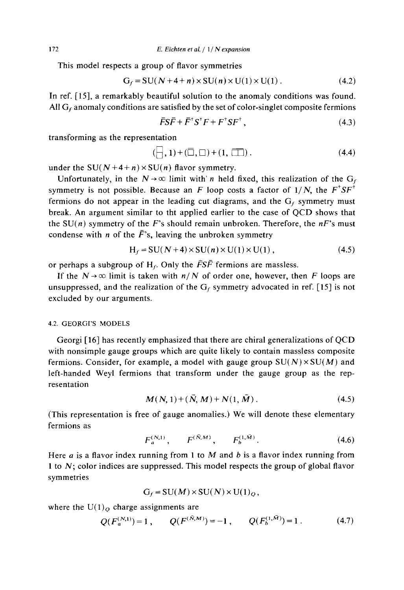This model respects a group of flavor symmetries

$$
G_f = SU(N+4+n) \times SU(n) \times U(1) \times U(1) . \tag{4.2}
$$

In ref. [15], a remarkably beautiful solution to the anomaly conditions was found. All  $G_f$  anomaly conditions are satisfied by the set of color-singlet composite fermions

$$
\overline{F}S\overline{F} + \overline{F}^{\dagger}S^{\dagger}F + F^{\dagger}SF^{\dagger}, \qquad (4.3)
$$

transforming as the representation

$$
(\square,1)+(\square,\square)+(1,\square)). \tag{4.4}
$$

under the SU( $N+4+n$ ) × SU(n) flavor symmetry.

Unfortunately, in the  $N \rightarrow \infty$  limit with *n* held fixed, this realization of the G<sub>f</sub> symmetry is not possible. Because an F loop costs a factor of  $1/N$ , the  $F^{\dagger}SF^{\dagger}$ fermions do not appear in the leading cut diagrams, and the  $G_f$  symmetry must break. An argument similar to tht applied earlier to the case of OCD shows that the SU(n) symmetry of the F's should remain unbroken. Therefore, the  $nF$ 's must condense with *n* of the  $\bar{F}$ 's, leaving the unbroken symmetry

$$
H_f = SU(N+4) \times SU(n) \times U(1) \times U(1), \qquad (4.5)
$$

or perhaps a subgroup of  $H_f$ . Only the  $\overline{F}S\overline{F}$  fermions are massless.

If the  $N \rightarrow \infty$  limit is taken with  $n/N$  of order one, however, then F loops are unsuppressed, and the realization of the  $G_f$  symmetry advocated in ref. [15] is not excluded by our arguments.

### **4.2. GEORGI'S MODELS**

Georgi [16] has recently emphasized that there are chiral generalizations of QCD with nonsimple gauge groups which are quite likely to contain massless composite fermions. Consider, for example, a model with gauge group  $SU(N) \times SU(M)$  and left-handed Weyl fermions that transform under the gauge group as the representation

$$
M(N, 1) + (\bar{N}, M) + N(1, \bar{M}). \tag{4.5}
$$

(This representation is free of gauge anomalies.) We will denote these elementary fermions as

$$
F_a^{(N,1)}, \qquad F^{(\bar{N},M)}, \qquad F_b^{(1,\bar{M})}.
$$
 (4.6)

Here  $a$  is a flavor index running from 1 to  $M$  and  $b$  is a flavor index running from 1 to  $N$ ; color indices are suppressed. This model respects the group of global flavor symmetries

$$
G_f = SU(M) \times SU(N) \times U(1)_Q,
$$

where the  $U(1)<sub>O</sub>$  charge assignments are

$$
Q(F_a^{(N,1)}) = 1, \qquad Q(F^{(\bar{N},M)}) = -1, \qquad Q(F_b^{(1,\bar{M})}) = 1. \tag{4.7}
$$

172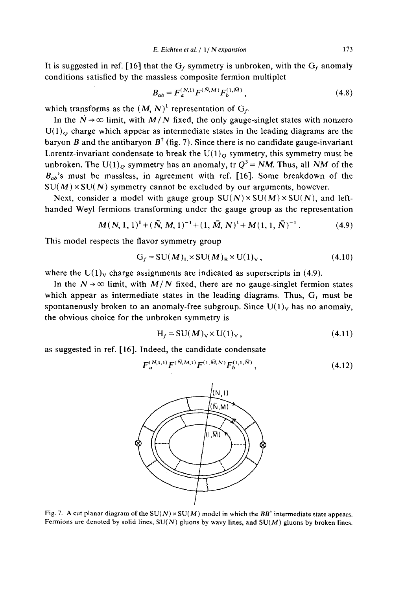It is suggested in ref. [16] that the  $G_f$  symmetry is unbroken, with the  $G_f$  anomaly conditions satisfied by the massless composite fermion multiplet

$$
B_{ab} = F_a^{(N,1)} F^{(\tilde{N},M)} F_b^{(1,\tilde{M})}, \qquad (4.8)
$$

173

which transforms as the  $(M, N)^1$  representation of  $G_f$ .

In the  $N \rightarrow \infty$  limit, with  $M/N$  fixed, the only gauge-singlet states with nonzero  $U(1)$ <sub>O</sub> charge which appear as intermediate states in the leading diagrams are the baryon B and the antibaryon  $B^{\dagger}$  (fig. 7). Since there is no candidate gauge-invariant Lorentz-invariant condensate to break the  $U(1)<sub>O</sub>$  symmetry, this symmetry must be unbroken. The U(1)<sub>O</sub> symmetry has an anomaly, tr  $Q^3$  = NM. Thus, all NM of the  $B_{ab}$ 's must be massless, in agreement with ref. [16]. Some breakdown of the  $SU(M) \times SU(N)$  symmetry cannot be excluded by our arguments, however.

Next, consider a model with gauge group  $SU(N) \times SU(M) \times SU(N)$ , and lefthanded Weyl fermions transforming under the gauge group as the representation

$$
M(N, 1, 1)^{1} + (\bar{N}, M, 1)^{-1} + (1, \bar{M}, N)^{1} + M(1, 1, \bar{N})^{-1}.
$$
 (4.9)

This model respects the flavor symmetry group

$$
G_f = SU(M)_L \times SU(M)_R \times U(1)_V, \qquad (4.10)
$$

where the  $U(1)_V$  charge assignments are indicated as superscripts in (4.9).

In the  $N \rightarrow \infty$  limit, with  $M/N$  fixed, there are no gauge-singlet fermion states which appear as intermediate states in the leading diagrams. Thus,  $G_f$  must be spontaneously broken to an anomaly-free subgroup. Since  $U(1)_V$  has no anomaly, the obvious choice for the unbroken symmetry is

$$
H_f = SU(M)_V \times U(1)_V, \qquad (4.11)
$$

as suggested in ref. [16]. Indeed, the candidate condensate

$$
F_a^{(N,1,1)} F^{(\bar{N},M,1)} F^{(1,\bar{M},N)} F_b^{(1,1,\bar{N})}, \qquad (4.12)
$$



Fig. 7. A cut planar diagram of the SU(N)  $\times$  SU(M) model in which the BB<sup>†</sup> intermediate state appears. Fermions are denoted by solid lines,  $SU(N)$  gluons by wavy lines, and  $SU(M)$  gluons by broken lines.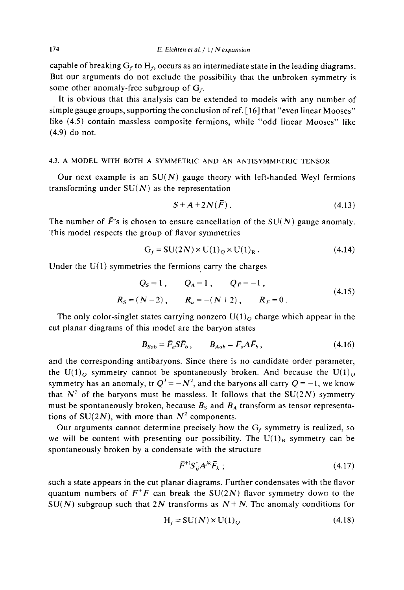capable of breaking  $G_f$  to  $H_f$ , occurs as an intermediate state in the leading diagrams. But our arguments do not exclude the possibility that the unbroken symmetry is some other anomaly-free subgroup of  $G_f$ .

It is obvious that this analysis can be extended to models with any number of simple gauge groups, supporting the conclusion of ref. [16] that "even linear Mooses" like (4.5) contain massless composite fermions, while "odd linear Mooses" like  $(4.9)$  do not.

#### 4.3. A MODEL WITH BOTH A SYMMETRIC AND AN ANTISYMMETRIC TENSOR

Our next example is an  $SU(N)$  gauge theory with left-handed Weyl fermions transforming under  $SU(N)$  as the representation

$$
S + A + 2N(\bar{F}). \tag{4.13}
$$

The number of  $\bar{F}$ 's is chosen to ensure cancellation of the SU(N) gauge anomaly. This model respects the group of flavor symmetries

$$
G_f = SU(2N) \times U(1)_Q \times U(1)_R. \tag{4.14}
$$

Under the  $U(1)$  symmetries the fermions carry the charges

$$
Q_S = 1, \t Q_A = 1, \t Q_{\tilde{F}} = -1,
$$
  
\n
$$
R_S = (N-2), \t R_a = -(N+2), \t R_{\tilde{F}} = 0.
$$
\n(4.15)

The only color-singlet states carrying nonzero  $U(1)<sub>O</sub>$  charge which appear in the cut planar diagrams of this model are the baryon states

$$
B_{Sab} = \bar{F}_a S \bar{F}_b, \qquad B_{Aab} = \bar{F}_a A \bar{F}_b, \qquad (4.16)
$$

and the corresponding antibaryons. Since there is no candidate order parameter, the U(1)<sub>0</sub> symmetry cannot be spontaneously broken. And because the U(1)<sub>0</sub> symmetry has an anomaly, tr  $Q^3 = -N^2$ , and the baryons all carry  $Q = -1$ , we know that  $N^2$  of the baryons must be massless. It follows that the SU(2N) symmetry must be spontaneously broken, because  $B_s$  and  $B_A$  transform as tensor representations of SU(2N), with more than  $N^2$  components.

Our arguments cannot determine precisely how the  $G_f$  symmetry is realized, so we will be content with presenting our possibility. The  $U(1)_R$  symmetry can be spontaneously broken by a condensate with the structure

$$
\bar{F}^{ij} S_{ij}^{\dagger} A^{jk} \bar{F}_k ; \qquad (4.17)
$$

such a state appears in the cut planar diagrams. Further condensates with the flavor quantum numbers of  $F^+F$  can break the SU(2N) flavor symmetry down to the  $SU(N)$  subgroup such that 2N transforms as  $N + N$ . The anomaly conditions for

$$
H_f = SU(N) \times U(1)_Q \tag{4.18}
$$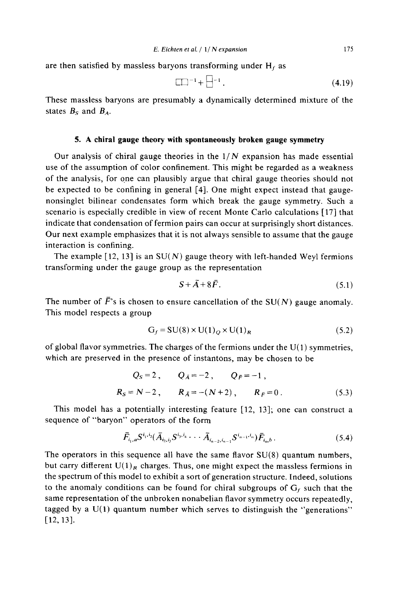are then satisfied by massless baryons transforming under  $H_f$  as

$$
\boxed{\square}^{-1} + \boxed{\square}^{-1} \tag{4.19}
$$

These massless baryons are presumably a dynamically determined mixture of the states  $B_s$  and  $B_A$ .

# 5. A chiral gauge theory with spontaneously broken gauge symmetry

Our analysis of chiral gauge theories in the  $1/N$  expansion has made essential use of the assumption of color confinement. This might be regarded as a weakness of the analysis, for one can plausibly argue that chiral gauge theories should not be expected to be confining in general [4]. One might expect instead that gaugenonsinglet bilinear condensates form which break the gauge symmetry. Such a scenario is especially credible in view of recent Monte Carlo calculations [17] that indicate that condensation of fermion pairs can occur at surprisingly short distances. Our next example emphasizes that it is not always sensible to assume that the gauge interaction is confining.

The example [12, 13] is an  $SU(N)$  gauge theory with left-handed Weyl fermions transforming under the gauge group as the representation

$$
S + \bar{A} + 8\bar{F}.\tag{5.1}
$$

The number of  $\bar{F}$ 's is chosen to ensure cancellation of the SU(N) gauge anomaly. This model respects a group

$$
G_f = SU(8) \times U(1)_Q \times U(1)_R
$$
\n(5.2)

of global flavor symmetries. The charges of the fermions under the  $U(1)$  symmetries, which are preserved in the presence of instantons, may be chosen to be

$$
Q_s = 2
$$
,  $Q_{\bar{A}} = -2$ ,  $Q_{\bar{F}} = -1$ ,  
\n $R_s = N - 2$ ,  $R_{\bar{A}} = -(N + 2)$ ,  $R_{\bar{F}} = 0$ . (5.3)

This model has a potentially interesting feature [12, 13]; one can construct a sequence of "baryon" operators of the form

$$
\bar{F}_{i_1,a} S^{i_1,i_2} (\bar{A}_{i_2,i_3} S^{i_3,i_4} \cdots \bar{A}_{i_{n-2},i_{n-1}} S^{i_{n-1},i_n}) \bar{F}_{i_n,b} \,.
$$
 (5.4)

The operators in this sequence all have the same flavor  $SU(8)$  quantum numbers, but carry different  $U(1)_R$  charges. Thus, one might expect the massless fermions in the spectrum of this model to exhibit a sort of generation structure. Indeed, solutions to the anomaly conditions can be found for chiral subgroups of  $G_f$  such that the same representation of the unbroken nonabelian flavor symmetry occurs repeatedly, tagged by a  $U(1)$  quantum number which serves to distinguish the "generations"  $[12, 13]$ .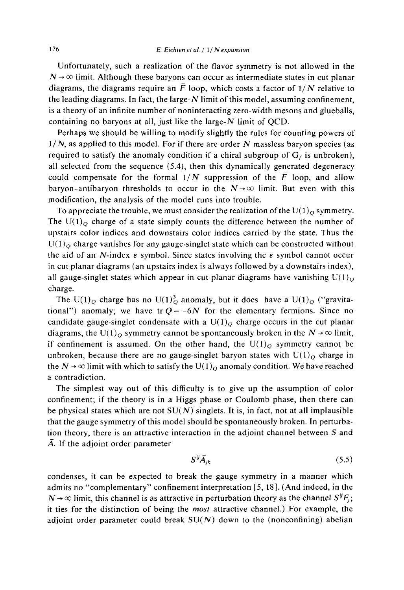Unfortunately, such a realization of the flavor symmetry is not allowed in the  $N \rightarrow \infty$  limit. Although these baryons can occur as intermediate states in cut planar diagrams, the diagrams require an  $\bar{F}$  loop, which costs a factor of  $1/N$  relative to the leading diagrams. In fact, the large- $N$  limit of this model, assuming confinement, is a theory of an infinite number of noninteracting zero-width mesons and glueballs, containing no baryons at all, just like the large- $N$  limit of QCD.

Perhaps we should be willing to modify slightly the rules for counting powers of  $1/N$ , as applied to this model. For if there are order N massless baryon species (as required to satisfy the anomaly condition if a chiral subgroup of  $G_f$  is unbroken), all selected from the sequence (5.4), then this dynamically generated degeneracy could compensate for the formal  $1/N$  suppression of the  $\overline{F}$  loop, and allow baryon-antibaryon thresholds to occur in the  $N \rightarrow \infty$  limit. But even with this modification, the analysis of the model runs into trouble.

To appreciate the trouble, we must consider the realization of the  $U(1)_Q$  symmetry. The  $U(1)_{\Omega}$  charge of a state simply counts the difference between the number of upstairs color indices and downstairs color indices carried by the state. Thus the  $U(1)$ <sub>o</sub> charge vanishes for any gauge-singlet state which can be constructed without the aid of an N-index  $\varepsilon$  symbol. Since states involving the  $\varepsilon$  symbol cannot occur in cut planar diagrams (an upstairs index is always followed by a downstairs index), all gauge-singlet states which appear in cut planar diagrams have vanishing  $U(1)<sub>o</sub>$ charge.

The U(1)<sub>O</sub> charge has no U(1)<sup>3</sup><sub>O</sub> anomaly, but it does have a U(1)<sub>O</sub> ("gravitational") anomaly; we have tr  $Q = -6N$  for the elementary fermions. Since no candidate gauge-singlet condensate with a  $U(1)_{O}$  charge occurs in the cut planar diagrams, the U(1)<sub>o</sub> symmetry cannot be spontaneously broken in the  $N \rightarrow \infty$  limit, if confinement is assumed. On the other hand, the  $U(1)<sub>O</sub>$  symmetry cannot be unbroken, because there are no gauge-singlet baryon states with  $U(1)_{O}$  charge in the  $N \rightarrow \infty$  limit with which to satisfy the U(1)<sub>Q</sub> anomaly condition. We have reached a contradiction.

The simplest way out of this difficulty is to give up the assumption of color confinement; if the theory is in a Higgs phase or Coulomb phase, then there can be physical states which are not  $SU(N)$  singlets. It is, in fact, not at all implausible that the gauge symmetry of this model should be spontaneously broken. In perturbation theory, there is an attractive interaction in the adjoint channel between S and  $\overline{A}$ . If the adjoint order parameter

$$
\mathbf{S}^{ij}\vec{\mathbf{A}}_{ik} \tag{5.5}
$$

condenses, it can be expected to break the gauge symmetry in a manner which admits no "complementary" confinement interpretation [5, 18]. (And indeed, in the  $N \rightarrow \infty$  limit, this channel is as attractive in perturbation theory as the channel  $S^{ij}F_i$ ; it ties for the distinction of being the most attractive channel.) For example, the adjoint order parameter could break  $SU(N)$  down to the (nonconfining) abelian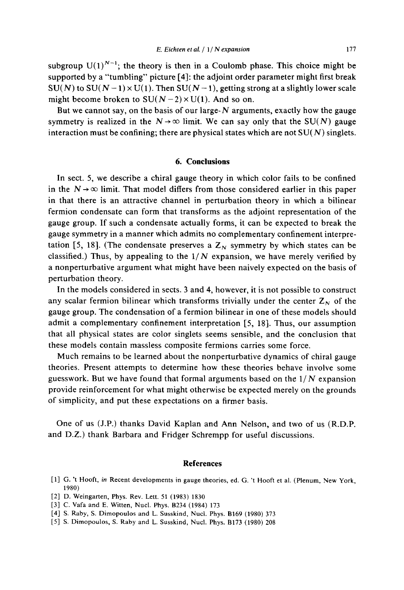subgroup  $U(1)^{N-1}$ ; the theory is then in a Coulomb phase. This choice might be supported by a "tumbling" picture [4]: the adjoint order parameter might first break  $SU(N)$  to  $SU(N-1) \times U(1)$ . Then  $SU(N-1)$ , getting strong at a slightly lower scale might become broken to  $SU(N-2) \times U(1)$ . And so on.

But we cannot say, on the basis of our large- $N$  arguments, exactly how the gauge symmetry is realized in the  $N \rightarrow \infty$  limit. We can say only that the SU(N) gauge interaction must be confining; there are physical states which are not  $SU(N)$  singlets.

# 6. Conclusions

In sect. 5, we describe a chiral gauge theory in which color fails to be confined in the  $N \rightarrow \infty$  limit. That model differs from those considered earlier in this paper in that there is an attractive channel in perturbation theory in which a bilinear fermion condensate can form that transforms as the adjoint representation of the gauge group. If such a condensate actually forms, it can be expected to break the gauge symmetry in a manner which admits no complementary confinement interpretation [5, 18]. (The condensate preserves a  $Z_N$  symmetry by which states can be classified.) Thus, by appealing to the  $1/N$  expansion, we have merely verified by a nonperturbative argument what might have been naively expected on the basis of perturbation theory.

In the models considered in sects. 3 and 4, however, it is not possible to construct any scalar fermion bilinear which transforms trivially under the center  $Z_N$  of the gauge group. The condensation of a fermion bilinear in one of these models should admit a complementary confinement interpretation [5, 18]. Thus, our assumption that all physical states are color singlets seems sensible, and the conclusion that these models contain massless composite fermions carries some force.

Much remains to be learned about the nonperturbative dynamics of chiral gauge theories. Present attempts to determine how these theories behave involve some guesswork. But we have found that formal arguments based on the  $1/N$  expansion provide reinforcement for what might otherwise be expected merely on the grounds of simplicity, and put these expectations on a firmer basis.

One of us (J.P.) thanks David Kaplan and Ann Nelson, and two of us (R.D.P. and D.Z.) thank Barbara and Fridger Schrempp for useful discussions.

#### **References**

- [1] G. 't Hooft, in Recent developments in gauge theories, ed. G. 't Hooft et al. (Plenum, New York, 1980)
- [2] D. Weingarten, Phys. Rev. Lett. 51 (1983) 1830
- [3] C. Vafa and E. Witten, Nucl. Phys. B234 (1984) 173
- [4] S. Raby, S. Dimopoulos and L. Susskind, Nucl. Phys. B169 (1980) 373
- [5] S. Dimopoulos, S. Raby and L. Susskind, Nucl. Phys. B173 (1980) 208